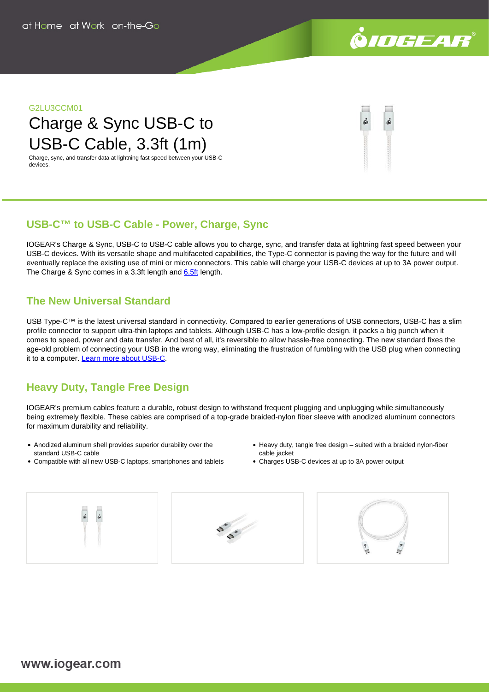

#### **G2LU3CCM01**

# Charge & Sync USB-C to USB-C Cable, 3.3ft (1m)

Charge, sync, and transfer data at lightning fast speed between your USB-C devices.

# **USB-C™ to USB-C Cable - Power, Charge, Sync**

IOGEAR's Charge & Sync, USB-C to USB-C cable allows you to charge, sync, and transfer data at lightning fast speed between your USB-C devices. With its versatile shape and multifaceted capabilities, the Type-C connector is paving the way for the future and will eventually replace the existing use of mini or micro connectors. This cable will charge your USB-C devices at up to 3A power output. The Charge & Sync comes in a 3.3ft length and [6.5ft](https://www.iogear.com/product/G2LU3CCM02/) length.

## **The New Universal Standard**

USB Type-C™ is the latest universal standard in connectivity. Compared to earlier generations of USB connectors, USB-C has a slim profile connector to support ultra-thin laptops and tablets. Although USB-C has a low-profile design, it packs a big punch when it comes to speed, power and data transfer. And best of all, it's reversible to allow hassle-free connecting. The new standard fixes the age-old problem of connecting your USB in the wrong way, eliminating the frustration of fumbling with the USB plug when connecting it to a computer. [Learn more about USB-C.](https://www.iogear.com/learn/usb-c)

# **Heavy Duty, Tangle Free Design**

IOGEAR's premium cables feature a durable, robust design to withstand frequent plugging and unplugging while simultaneously being extremely flexible. These cables are comprised of a top-grade braided-nylon fiber sleeve with anodized aluminum connectors for maximum durability and reliability.

- Anodized aluminum shell provides superior durability over the standard USB-C cable
- Compatible with all new USB-C laptops, smartphones and tablets
- Heavy duty, tangle free design suited with a braided nylon-fiber cable jacket
- Charges USB-C devices at up to 3A power output





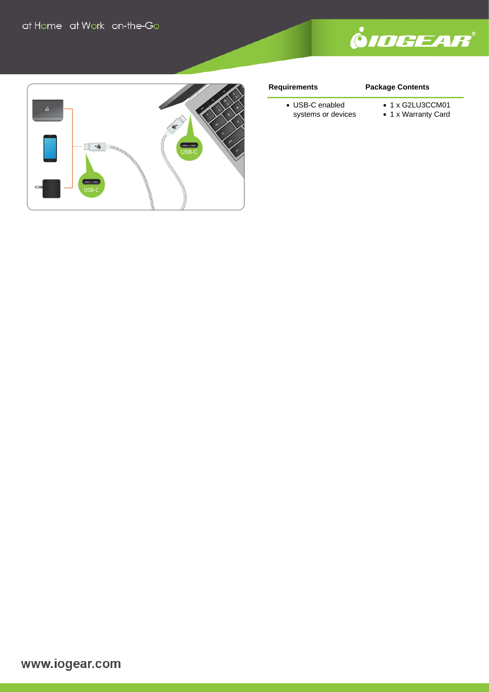



#### **Requirements**

### **Package Contents**

- USB-C enabled systems or devices
- 1 x G2LU3CCM01
- 1 x Warranty Card